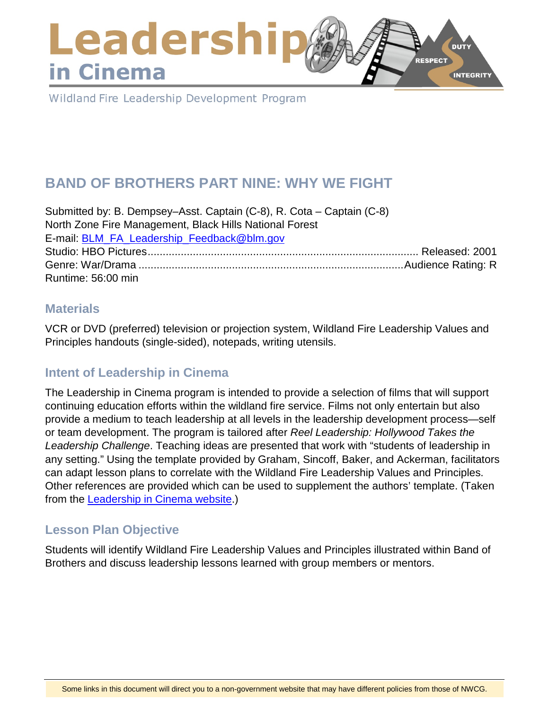### Leadershi **DUTY RESPECT** in Cinema **INTEGRITY**

Wildland Fire Leadership Development Program

# **BAND OF BROTHERS PART NINE: WHY WE FIGHT**

Submitted by: B. Dempsey–Asst. Captain (C-8), R. Cota – Captain (C-8) North Zone Fire Management, Black Hills National Forest E-mail: [BLM\\_FA\\_Leadership\\_Feedback@blm.gov](mailto:BLM_FA_Leadership_Feedback@blm.gov) Studio: HBO Pictures.......................................................................................... Released: 2001 Genre: War/Drama ........................................................................................Audience Rating: R Runtime: 56:00 min

### **Materials**

VCR or DVD (preferred) television or projection system, Wildland Fire Leadership Values and Principles handouts (single-sided), notepads, writing utensils.

# **Intent of Leadership in Cinema**

The Leadership in Cinema program is intended to provide a selection of films that will support continuing education efforts within the wildland fire service. Films not only entertain but also provide a medium to teach leadership at all levels in the leadership development process—self or team development. The program is tailored after *Reel Leadership: Hollywood Takes the Leadership Challenge*. Teaching ideas are presented that work with "students of leadership in any setting." Using the template provided by Graham, Sincoff, Baker, and Ackerman, facilitators can adapt lesson plans to correlate with the Wildland Fire Leadership Values and Principles. Other references are provided which can be used to supplement the authors' template. (Taken from the [Leadership in Cinema website.](https://www.fireleadership.gov/))

# **Lesson Plan Objective**

Students will identify Wildland Fire Leadership Values and Principles illustrated within Band of Brothers and discuss leadership lessons learned with group members or mentors.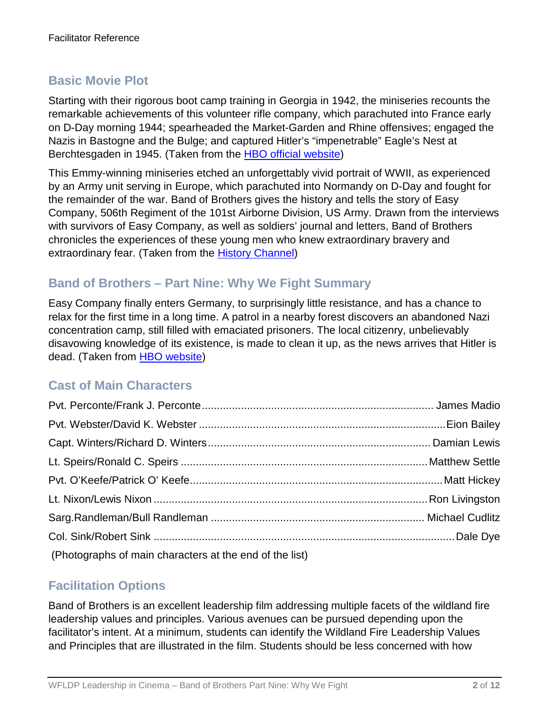# **Basic Movie Plot**

Starting with their rigorous boot camp training in Georgia in 1942, the miniseries recounts the remarkable achievements of this volunteer rifle company, which parachuted into France early on D-Day morning 1944; spearheaded the Market-Garden and Rhine offensives; engaged the Nazis in Bastogne and the Bulge; and captured Hitler's "impenetrable" Eagle's Nest at Berchtesgaden in 1945. (Taken from the [HBO official website\)](http://www.hbo.com/band/landing/currahee.html)

This Emmy-winning miniseries etched an unforgettably vivid portrait of WWII, as experienced by an Army unit serving in Europe, which parachuted into Normandy on D-Day and fought for the remainder of the war. Band of Brothers gives the history and tells the story of Easy Company, 506th Regiment of the 101st Airborne Division, US Army. Drawn from the interviews with survivors of Easy Company, as well as soldiers' journal and letters, Band of Brothers chronicles the experiences of these young men who knew extraordinary bravery and extraordinary fear. (Taken from the [History Channel\)](http://www.history.com/topics/d-day)

### **Band of Brothers – Part Nine: Why We Fight Summary**

Easy Company finally enters Germany, to surprisingly little resistance, and has a chance to relax for the first time in a long time. A patrol in a nearby forest discovers an abandoned Nazi concentration camp, still filled with emaciated prisoners. The local citizenry, unbelievably disavowing knowledge of its existence, is made to clean it up, as the news arrives that Hitler is dead. (Taken from [HBO website\)](http://www.hbo.com/band-of-brothers/episodes/0/09-why-we-fight/synopsis.html)

# **Cast of Main Characters**

| (Photographs of main characters at the end of the list) |  |
|---------------------------------------------------------|--|

### **Facilitation Options**

Band of Brothers is an excellent leadership film addressing multiple facets of the wildland fire leadership values and principles. Various avenues can be pursued depending upon the facilitator's intent. At a minimum, students can identify the Wildland Fire Leadership Values and Principles that are illustrated in the film. Students should be less concerned with how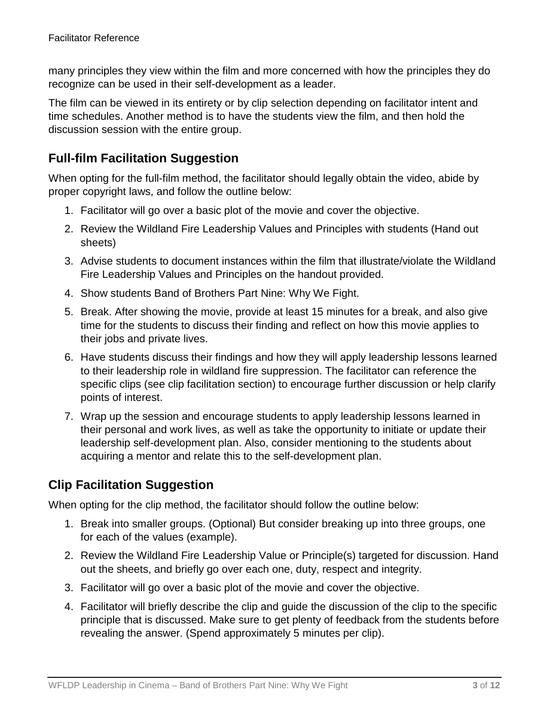many principles they view within the film and more concerned with how the principles they do recognize can be used in their self-development as a leader.

The film can be viewed in its entirety or by clip selection depending on facilitator intent and time schedules. Another method is to have the students view the film, and then hold the discussion session with the entire group.

# **Full-film Facilitation Suggestion**

When opting for the full-film method, the facilitator should legally obtain the video, abide by proper copyright laws, and follow the outline below:

- 1. Facilitator will go over a basic plot of the movie and cover the objective.
- 2. Review the Wildland Fire Leadership Values and Principles with students (Hand out sheets)
- 3. Advise students to document instances within the film that illustrate/violate the Wildland Fire Leadership Values and Principles on the handout provided.
- 4. Show students Band of Brothers Part Nine: Why We Fight.
- 5. Break. After showing the movie, provide at least 15 minutes for a break, and also give time for the students to discuss their finding and reflect on how this movie applies to their jobs and private lives.
- 6. Have students discuss their findings and how they will apply leadership lessons learned to their leadership role in wildland fire suppression. The facilitator can reference the specific clips (see clip facilitation section) to encourage further discussion or help clarify points of interest.
- 7. Wrap up the session and encourage students to apply leadership lessons learned in their personal and work lives, as well as take the opportunity to initiate or update their leadership self-development plan. Also, consider mentioning to the students about acquiring a mentor and relate this to the self-development plan.

# **Clip Facilitation Suggestion**

When opting for the clip method, the facilitator should follow the outline below:

- 1. Break into smaller groups. (Optional) But consider breaking up into three groups, one for each of the values (example).
- 2. Review the Wildland Fire Leadership Value or Principle(s) targeted for discussion. Hand out the sheets, and briefly go over each one, duty, respect and integrity.
- 3. Facilitator will go over a basic plot of the movie and cover the objective.
- 4. Facilitator will briefly describe the clip and guide the discussion of the clip to the specific principle that is discussed. Make sure to get plenty of feedback from the students before revealing the answer. (Spend approximately 5 minutes per clip).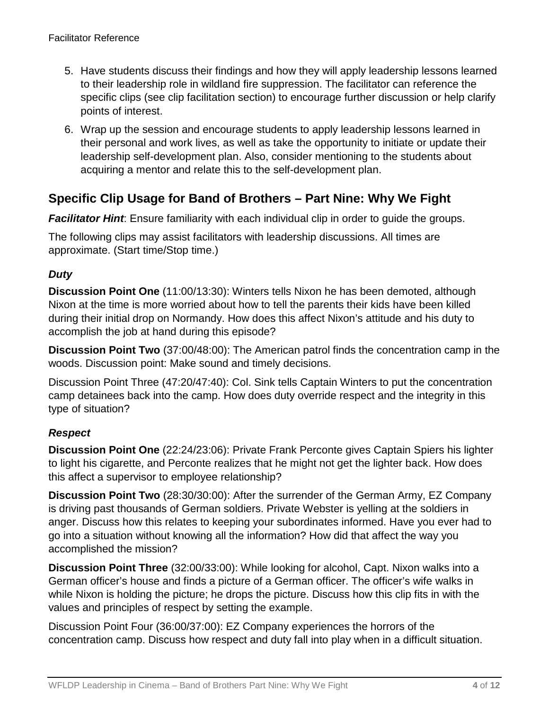- 5. Have students discuss their findings and how they will apply leadership lessons learned to their leadership role in wildland fire suppression. The facilitator can reference the specific clips (see clip facilitation section) to encourage further discussion or help clarify points of interest.
- 6. Wrap up the session and encourage students to apply leadership lessons learned in their personal and work lives, as well as take the opportunity to initiate or update their leadership self-development plan. Also, consider mentioning to the students about acquiring a mentor and relate this to the self-development plan.

# **Specific Clip Usage for Band of Brothers – Part Nine: Why We Fight**

**Facilitator Hint**: Ensure familiarity with each individual clip in order to quide the groups.

The following clips may assist facilitators with leadership discussions. All times are approximate. (Start time/Stop time.)

#### *Duty*

**Discussion Point One** (11:00/13:30): Winters tells Nixon he has been demoted, although Nixon at the time is more worried about how to tell the parents their kids have been killed during their initial drop on Normandy. How does this affect Nixon's attitude and his duty to accomplish the job at hand during this episode?

**Discussion Point Two** (37:00/48:00): The American patrol finds the concentration camp in the woods. Discussion point: Make sound and timely decisions.

Discussion Point Three (47:20/47:40): Col. Sink tells Captain Winters to put the concentration camp detainees back into the camp. How does duty override respect and the integrity in this type of situation?

#### *Respect*

**Discussion Point One** (22:24/23:06): Private Frank Perconte gives Captain Spiers his lighter to light his cigarette, and Perconte realizes that he might not get the lighter back. How does this affect a supervisor to employee relationship?

**Discussion Point Two** (28:30/30:00): After the surrender of the German Army, EZ Company is driving past thousands of German soldiers. Private Webster is yelling at the soldiers in anger. Discuss how this relates to keeping your subordinates informed. Have you ever had to go into a situation without knowing all the information? How did that affect the way you accomplished the mission?

**Discussion Point Three** (32:00/33:00): While looking for alcohol, Capt. Nixon walks into a German officer's house and finds a picture of a German officer. The officer's wife walks in while Nixon is holding the picture; he drops the picture. Discuss how this clip fits in with the values and principles of respect by setting the example.

Discussion Point Four (36:00/37:00): EZ Company experiences the horrors of the concentration camp. Discuss how respect and duty fall into play when in a difficult situation.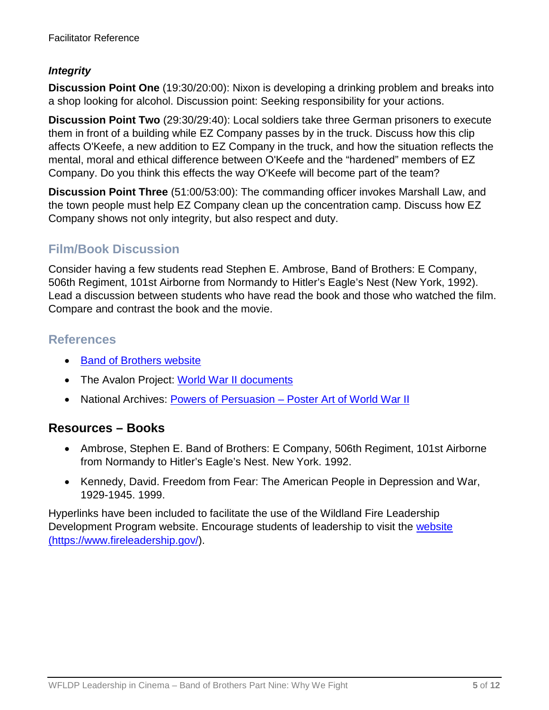#### *Integrity*

**Discussion Point One** (19:30/20:00): Nixon is developing a drinking problem and breaks into a shop looking for alcohol. Discussion point: Seeking responsibility for your actions.

**Discussion Point Two** (29:30/29:40): Local soldiers take three German prisoners to execute them in front of a building while EZ Company passes by in the truck. Discuss how this clip affects O'Keefe, a new addition to EZ Company in the truck, and how the situation reflects the mental, moral and ethical difference between O'Keefe and the "hardened" members of EZ Company. Do you think this effects the way O'Keefe will become part of the team?

**Discussion Point Three** (51:00/53:00): The commanding officer invokes Marshall Law, and the town people must help EZ Company clean up the concentration camp. Discuss how EZ Company shows not only integrity, but also respect and duty.

# **Film/Book Discussion**

Consider having a few students read Stephen E. Ambrose, Band of Brothers: E Company, 506th Regiment, 101st Airborne from Normandy to Hitler's Eagle's Nest (New York, 1992). Lead a discussion between students who have read the book and those who watched the film. Compare and contrast the book and the movie.

### **References**

- [Band of Brothers website](http://www.hbo.com/band/landing/currahee.html)
- The Avalon Project: [World War II documents](http://avalon.law.yale.edu/subject_menus/wwii.asp)
- National Archives: Powers of Persuasion [Poster Art of World War II](https://www.archives.gov/education/lessons/wwii-posters)

### **Resources – Books**

- Ambrose, Stephen E. Band of Brothers: E Company, 506th Regiment, 101st Airborne from Normandy to Hitler's Eagle's Nest. New York. 1992.
- Kennedy, David. Freedom from Fear: The American People in Depression and War, 1929-1945. 1999.

Hyperlinks have been included to facilitate the use of the Wildland Fire Leadership Development Program website. Encourage students of leadership to visit the [website](https://www.fireleadership.gov/)  [\(https://www.fireleadership.gov/\)](https://www.fireleadership.gov/).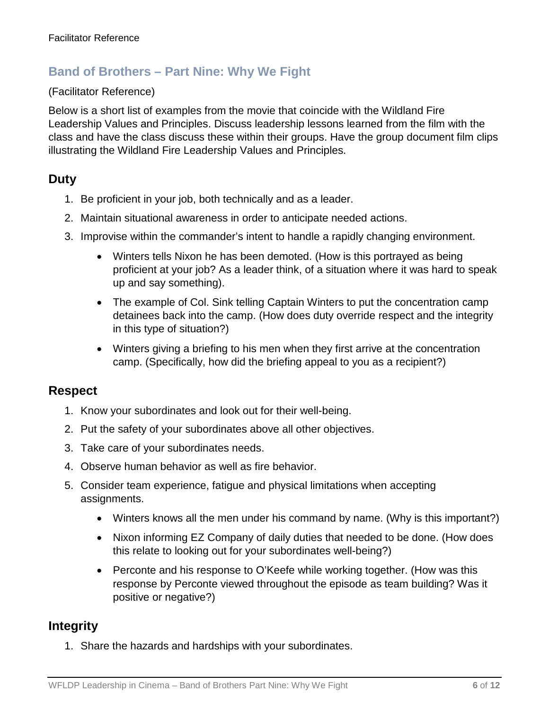### **Band of Brothers – Part Nine: Why We Fight**

#### (Facilitator Reference)

Below is a short list of examples from the movie that coincide with the Wildland Fire Leadership Values and Principles. Discuss leadership lessons learned from the film with the class and have the class discuss these within their groups. Have the group document film clips illustrating the Wildland Fire Leadership Values and Principles.

#### **Duty**

- 1. Be proficient in your job, both technically and as a leader.
- 2. Maintain situational awareness in order to anticipate needed actions.
- 3. Improvise within the commander's intent to handle a rapidly changing environment.
	- Winters tells Nixon he has been demoted. (How is this portrayed as being proficient at your job? As a leader think, of a situation where it was hard to speak up and say something).
	- The example of Col. Sink telling Captain Winters to put the concentration camp detainees back into the camp. (How does duty override respect and the integrity in this type of situation?)
	- Winters giving a briefing to his men when they first arrive at the concentration camp. (Specifically, how did the briefing appeal to you as a recipient?)

#### **Respect**

- 1. Know your subordinates and look out for their well-being.
- 2. Put the safety of your subordinates above all other objectives.
- 3. Take care of your subordinates needs.
- 4. Observe human behavior as well as fire behavior.
- 5. Consider team experience, fatigue and physical limitations when accepting assignments.
	- Winters knows all the men under his command by name. (Why is this important?)
	- Nixon informing EZ Company of daily duties that needed to be done. (How does this relate to looking out for your subordinates well-being?)
	- Perconte and his response to O'Keefe while working together. (How was this response by Perconte viewed throughout the episode as team building? Was it positive or negative?)

### **Integrity**

1. Share the hazards and hardships with your subordinates.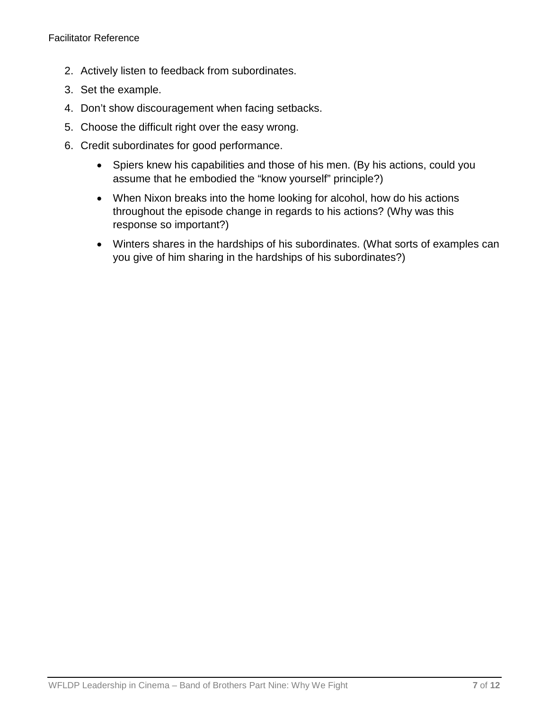- 2. Actively listen to feedback from subordinates.
- 3. Set the example.
- 4. Don't show discouragement when facing setbacks.
- 5. Choose the difficult right over the easy wrong.
- 6. Credit subordinates for good performance.
	- Spiers knew his capabilities and those of his men. (By his actions, could you assume that he embodied the "know yourself" principle?)
	- When Nixon breaks into the home looking for alcohol, how do his actions throughout the episode change in regards to his actions? (Why was this response so important?)
	- Winters shares in the hardships of his subordinates. (What sorts of examples can you give of him sharing in the hardships of his subordinates?)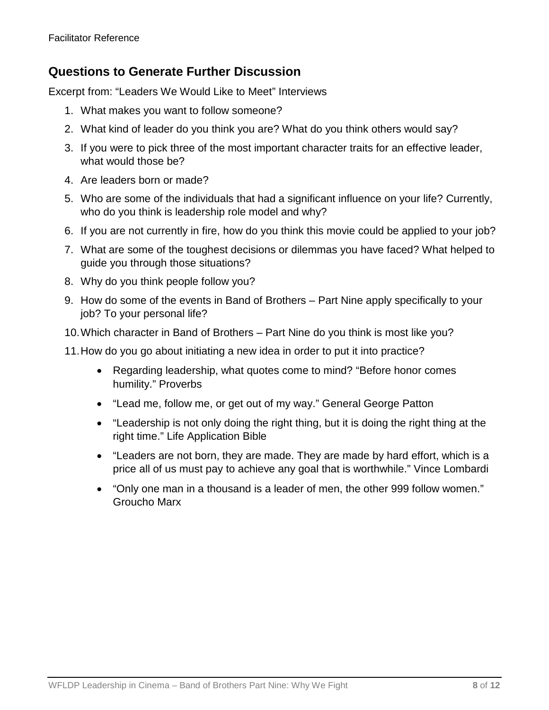### **Questions to Generate Further Discussion**

Excerpt from: "Leaders We Would Like to Meet" Interviews

- 1. What makes you want to follow someone?
- 2. What kind of leader do you think you are? What do you think others would say?
- 3. If you were to pick three of the most important character traits for an effective leader, what would those be?
- 4. Are leaders born or made?
- 5. Who are some of the individuals that had a significant influence on your life? Currently, who do you think is leadership role model and why?
- 6. If you are not currently in fire, how do you think this movie could be applied to your job?
- 7. What are some of the toughest decisions or dilemmas you have faced? What helped to guide you through those situations?
- 8. Why do you think people follow you?
- 9. How do some of the events in Band of Brothers Part Nine apply specifically to your job? To your personal life?
- 10.Which character in Band of Brothers Part Nine do you think is most like you?
- 11.How do you go about initiating a new idea in order to put it into practice?
	- Regarding leadership, what quotes come to mind? "Before honor comes humility." Proverbs
	- "Lead me, follow me, or get out of my way." General George Patton
	- "Leadership is not only doing the right thing, but it is doing the right thing at the right time." Life Application Bible
	- "Leaders are not born, they are made. They are made by hard effort, which is a price all of us must pay to achieve any goal that is worthwhile." Vince Lombardi
	- "Only one man in a thousand is a leader of men, the other 999 follow women." Groucho Marx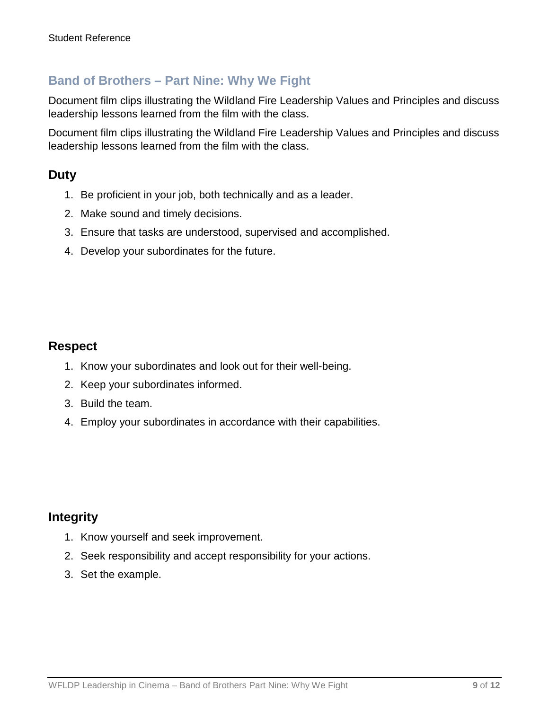### **Band of Brothers – Part Nine: Why We Fight**

Document film clips illustrating the Wildland Fire Leadership Values and Principles and discuss leadership lessons learned from the film with the class.

Document film clips illustrating the Wildland Fire Leadership Values and Principles and discuss leadership lessons learned from the film with the class.

### **Duty**

- 1. Be proficient in your job, both technically and as a leader.
- 2. Make sound and timely decisions.
- 3. Ensure that tasks are understood, supervised and accomplished.
- 4. Develop your subordinates for the future.

#### **Respect**

- 1. Know your subordinates and look out for their well-being.
- 2. Keep your subordinates informed.
- 3. Build the team.
- 4. Employ your subordinates in accordance with their capabilities.

### **Integrity**

- 1. Know yourself and seek improvement.
- 2. Seek responsibility and accept responsibility for your actions.
- 3. Set the example.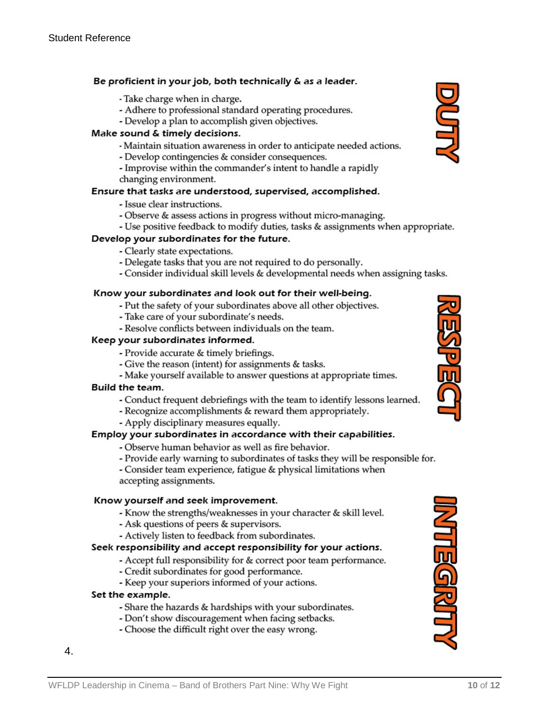#### Be proficient in your job, both technically & as a leader.

#### - Take charge when in charge.

- Adhere to professional standard operating procedures.
- Develop a plan to accomplish given objectives.

#### Make sound & timely decisions.

- Maintain situation awareness in order to anticipate needed actions.
- Develop contingencies & consider consequences.
- Improvise within the commander's intent to handle a rapidly changing environment.

#### Ensure that tasks are understood, supervised, accomplished.

- Issue clear instructions.
- Observe & assess actions in progress without micro-managing.
- Use positive feedback to modify duties, tasks & assignments when appropriate.

#### Develop your subordinates for the future.

- Clearly state expectations.
- Delegate tasks that you are not required to do personally.
- Consider individual skill levels & developmental needs when assigning tasks.

#### Know your subordinates and look out for their well-being.

- Put the safety of your subordinates above all other objectives.
- Take care of your subordinate's needs.
- Resolve conflicts between individuals on the team.

#### Keep your subordinates informed.

- Provide accurate & timely briefings.
- Give the reason (intent) for assignments & tasks.
- Make yourself available to answer questions at appropriate times.

#### Build the team.

- Conduct frequent debriefings with the team to identify lessons learned.
- Recognize accomplishments & reward them appropriately.
	- Apply disciplinary measures equally.

#### Employ your subordinates in accordance with their capabilities.

- Observe human behavior as well as fire behavior.
- Provide early warning to subordinates of tasks they will be responsible for.

- Consider team experience, fatigue & physical limitations when accepting assignments.

#### Know yourself and seek improvement.

- Know the strengths/weaknesses in your character & skill level.
- Ask questions of peers & supervisors.
- Actively listen to feedback from subordinates.

#### Seek responsibility and accept responsibility for your actions.

- Accept full responsibility for & correct poor team performance.
- Credit subordinates for good performance.
- Keep your superiors informed of your actions.

#### Set the example.

4.

- Share the hazards & hardships with your subordinates.
- Don't show discouragement when facing setbacks.
- Choose the difficult right over the easy wrong.



VILEGRATI

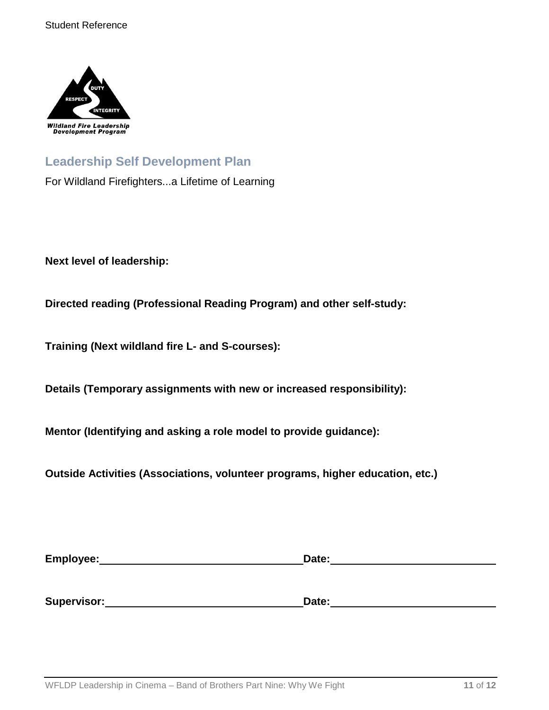

# **Leadership Self Development Plan**

For Wildland Firefighters...a Lifetime of Learning

**Next level of leadership:**

**Directed reading (Professional Reading Program) and other self-study:**

**Training (Next wildland fire L- and S-courses):**

**Details (Temporary assignments with new or increased responsibility):**

**Mentor (Identifying and asking a role model to provide guidance):**

**Outside Activities (Associations, volunteer programs, higher education, etc.)**

| Employee:   | Date: |  |
|-------------|-------|--|
|             |       |  |
|             |       |  |
| Supervisor: | Date: |  |